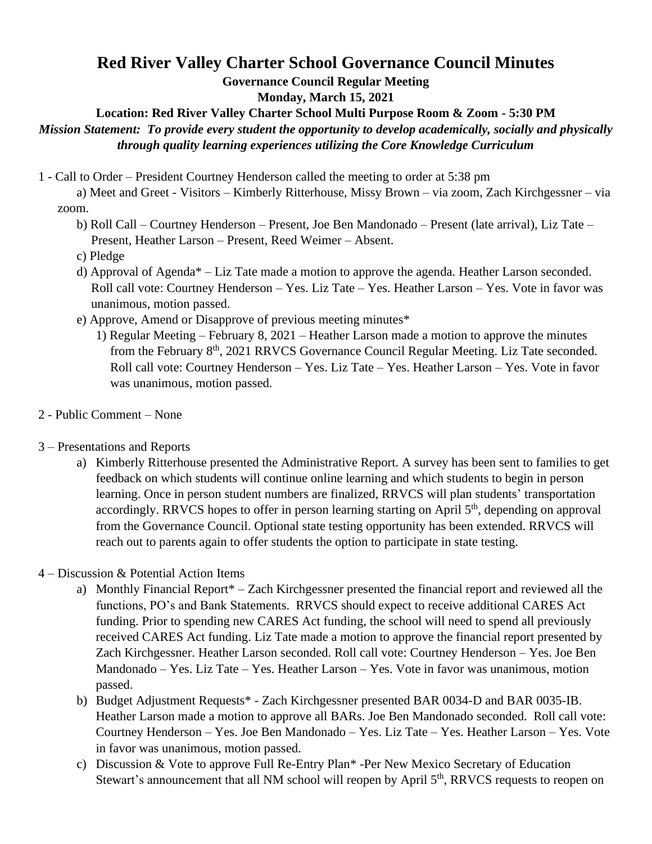## **Red River Valley Charter School Governance Council Minutes**

**Governance Council Regular Meeting**

**Monday, March 15, 2021**

**Location: Red River Valley Charter School Multi Purpose Room & Zoom - 5:30 PM** 

*Mission Statement: To provide every student the opportunity to develop academically, socially and physically through quality learning experiences utilizing the Core Knowledge Curriculum* 

- 1 Call to Order President Courtney Henderson called the meeting to order at 5:38 pm
	- a) Meet and Greet Visitors Kimberly Ritterhouse, Missy Brown via zoom, Zach Kirchgessner via zoom.
		- b) Roll Call Courtney Henderson Present, Joe Ben Mandonado Present (late arrival), Liz Tate Present, Heather Larson – Present, Reed Weimer – Absent.
		- c) Pledge
		- d) Approval of Agenda\* Liz Tate made a motion to approve the agenda. Heather Larson seconded. Roll call vote: Courtney Henderson – Yes. Liz Tate – Yes. Heather Larson – Yes. Vote in favor was unanimous, motion passed.
		- e) Approve, Amend or Disapprove of previous meeting minutes\*
			- 1) Regular Meeting February 8, 2021 Heather Larson made a motion to approve the minutes from the February 8<sup>th</sup>, 2021 RRVCS Governance Council Regular Meeting. Liz Tate seconded. Roll call vote: Courtney Henderson – Yes. Liz Tate – Yes. Heather Larson – Yes. Vote in favor was unanimous, motion passed.
- 2 Public Comment None
- 3 Presentations and Reports
	- a) Kimberly Ritterhouse presented the Administrative Report. A survey has been sent to families to get feedback on which students will continue online learning and which students to begin in person learning. Once in person student numbers are finalized, RRVCS will plan students' transportation accordingly. RRVCS hopes to offer in person learning starting on April 5<sup>th</sup>, depending on approval from the Governance Council. Optional state testing opportunity has been extended. RRVCS will reach out to parents again to offer students the option to participate in state testing.
- 4 Discussion & Potential Action Items
	- a) Monthly Financial Report\* Zach Kirchgessner presented the financial report and reviewed all the functions, PO's and Bank Statements. RRVCS should expect to receive additional CARES Act funding. Prior to spending new CARES Act funding, the school will need to spend all previously received CARES Act funding. Liz Tate made a motion to approve the financial report presented by Zach Kirchgessner. Heather Larson seconded. Roll call vote: Courtney Henderson – Yes. Joe Ben Mandonado – Yes. Liz Tate – Yes. Heather Larson – Yes. Vote in favor was unanimous, motion passed.
	- b) Budget Adjustment Requests\* Zach Kirchgessner presented BAR 0034-D and BAR 0035-IB. Heather Larson made a motion to approve all BARs. Joe Ben Mandonado seconded. Roll call vote: Courtney Henderson – Yes. Joe Ben Mandonado – Yes. Liz Tate – Yes. Heather Larson – Yes. Vote in favor was unanimous, motion passed.
	- c) Discussion & Vote to approve Full Re-Entry Plan\* -Per New Mexico Secretary of Education Stewart's announcement that all NM school will reopen by April 5<sup>th</sup>, RRVCS requests to reopen on